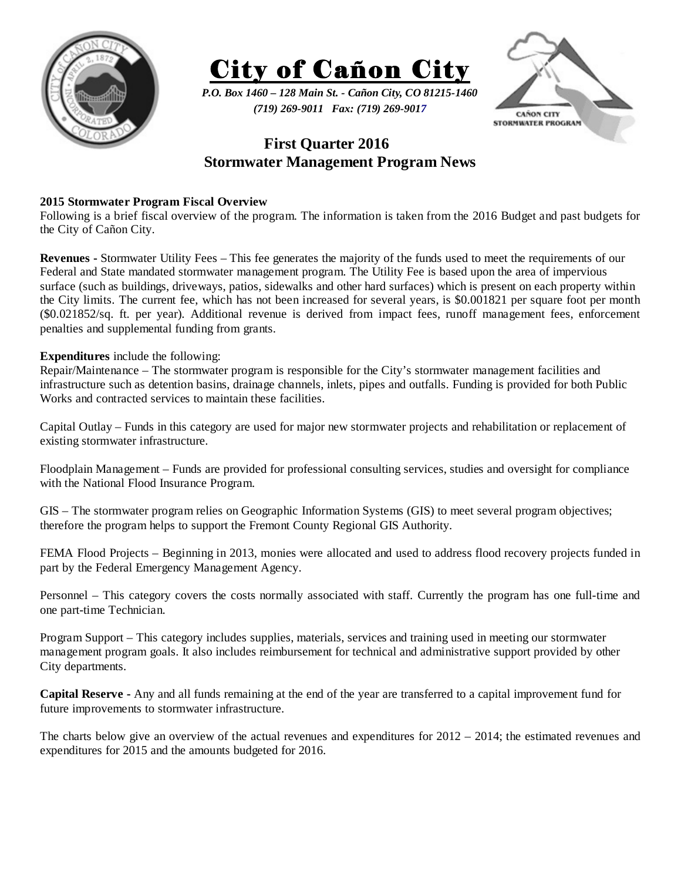



*P.O. Box 1460 – 128 Main St. - Cañon City, CO 81215-1460 (719) 269-9011 Fax: (719) 269-9017* 



## **First Quarter 2016 Stormwater Management Program News**

## **2015 Stormwater Program Fiscal Overview**

Following is a brief fiscal overview of the program. The information is taken from the 2016 Budget and past budgets for the City of Cañon City.

**Revenues -** Stormwater Utility Fees – This fee generates the majority of the funds used to meet the requirements of our Federal and State mandated stormwater management program. The Utility Fee is based upon the area of impervious surface (such as buildings, driveways, patios, sidewalks and other hard surfaces) which is present on each property within the City limits. The current fee, which has not been increased for several years, is \$0.001821 per square foot per month (\$0.021852/sq. ft. per year). Additional revenue is derived from impact fees, runoff management fees, enforcement penalties and supplemental funding from grants.

## **Expenditures** include the following:

Repair/Maintenance – The stormwater program is responsible for the City's stormwater management facilities and infrastructure such as detention basins, drainage channels, inlets, pipes and outfalls. Funding is provided for both Public Works and contracted services to maintain these facilities.

Capital Outlay – Funds in this category are used for major new stormwater projects and rehabilitation or replacement of existing stormwater infrastructure.

Floodplain Management – Funds are provided for professional consulting services, studies and oversight for compliance with the National Flood Insurance Program.

GIS – The stormwater program relies on Geographic Information Systems (GIS) to meet several program objectives; therefore the program helps to support the Fremont County Regional GIS Authority.

FEMA Flood Projects – Beginning in 2013, monies were allocated and used to address flood recovery projects funded in part by the Federal Emergency Management Agency.

Personnel – This category covers the costs normally associated with staff. Currently the program has one full-time and one part-time Technician.

Program Support – This category includes supplies, materials, services and training used in meeting our stormwater management program goals. It also includes reimbursement for technical and administrative support provided by other City departments.

**Capital Reserve -** Any and all funds remaining at the end of the year are transferred to a capital improvement fund for future improvements to stormwater infrastructure.

The charts below give an overview of the actual revenues and expenditures for 2012 – 2014; the estimated revenues and expenditures for 2015 and the amounts budgeted for 2016.